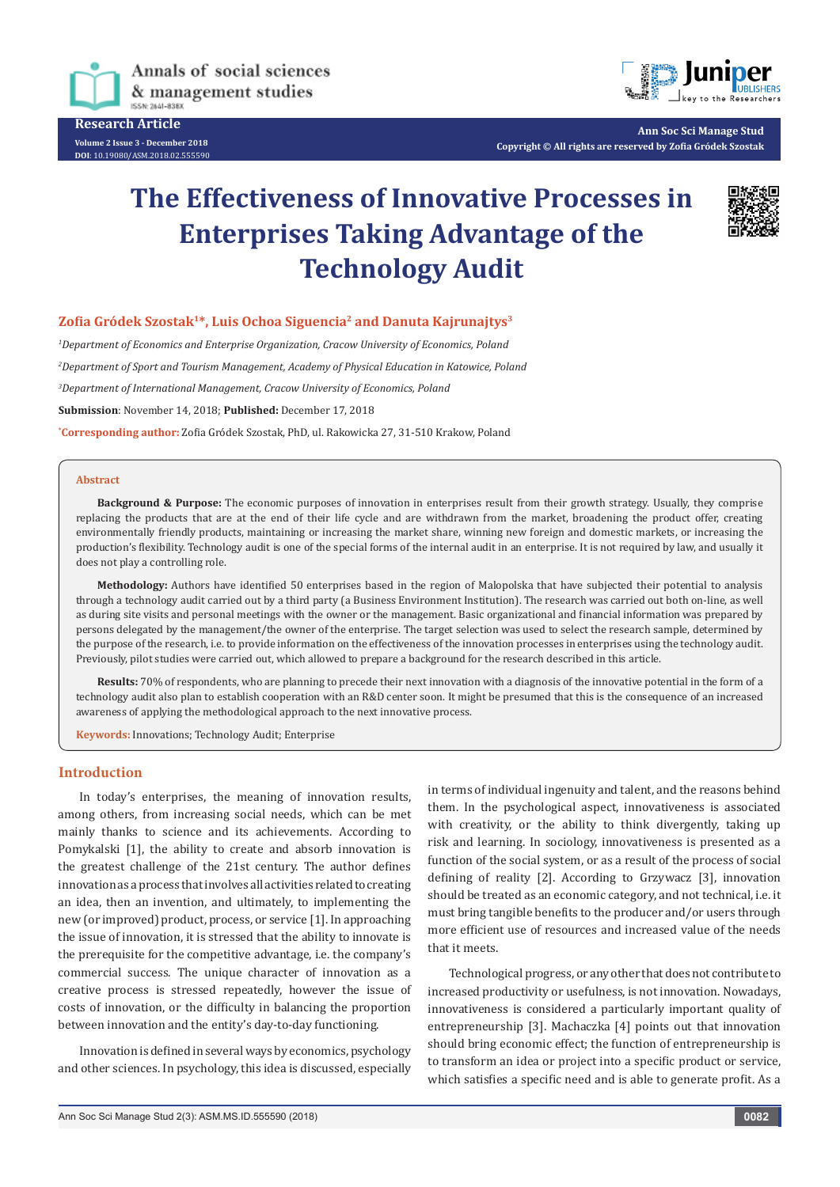

**Research Article Volume 2 Issue 3 - December 2018 DOI**[: 10.19080/ASM.2018.02.555590](http://dx.doi.org/10.19080/ASM.2018.02.555590
)



**Ann Soc Sci Manage Stud Copyright © All rights are reserved by Zofia Gródek Szostak**

# **The Effectiveness of Innovative Processes in Enterprises Taking Advantage of the Technology Audit**



#### **Zofia Gródek Szostak1\*, Luis Ochoa Siguencia2 and Danuta Kajrunajtys3**

 *Department of Economics and Enterprise Organization, Cracow University of Economics, Poland Department of Sport and Tourism Management, Academy of Physical Education in Katowice, Poland Department of International Management, Cracow University of Economics, Poland* **Submission**: November 14, 2018; **Published:** December 17, 2018

**\* Corresponding author:** Zofia Gródek Szostak, PhD, ul. Rakowicka 27, 31-510 Krakow, Poland

#### **Abstract**

**Background & Purpose:** The economic purposes of innovation in enterprises result from their growth strategy. Usually, they comprise replacing the products that are at the end of their life cycle and are withdrawn from the market, broadening the product offer, creating environmentally friendly products, maintaining or increasing the market share, winning new foreign and domestic markets, or increasing the production's flexibility. Technology audit is one of the special forms of the internal audit in an enterprise. It is not required by law, and usually it does not play a controlling role.

**Methodology:** Authors have identified 50 enterprises based in the region of Malopolska that have subjected their potential to analysis through a technology audit carried out by a third party (a Business Environment Institution). The research was carried out both on-line, as well as during site visits and personal meetings with the owner or the management. Basic organizational and financial information was prepared by persons delegated by the management/the owner of the enterprise. The target selection was used to select the research sample, determined by the purpose of the research, i.e. to provide information on the effectiveness of the innovation processes in enterprises using the technology audit. Previously, pilot studies were carried out, which allowed to prepare a background for the research described in this article.

**Results:** 70% of respondents, who are planning to precede their next innovation with a diagnosis of the innovative potential in the form of a technology audit also plan to establish cooperation with an R&D center soon. It might be presumed that this is the consequence of an increased awareness of applying the methodological approach to the next innovative process.

**Keywords:** Innovations; Technology Audit; Enterprise

#### **Introduction**

In today's enterprises, the meaning of innovation results, among others, from increasing social needs, which can be met mainly thanks to science and its achievements. According to Pomykalski [1], the ability to create and absorb innovation is the greatest challenge of the 21st century. The author defines innovation as a process that involves all activities related to creating an idea, then an invention, and ultimately, to implementing the new (or improved) product, process, or service [1]. In approaching the issue of innovation, it is stressed that the ability to innovate is the prerequisite for the competitive advantage, i.e. the company's commercial success. The unique character of innovation as a creative process is stressed repeatedly, however the issue of costs of innovation, or the difficulty in balancing the proportion between innovation and the entity's day-to-day functioning.

Innovation is defined in several ways by economics, psychology and other sciences. In psychology, this idea is discussed, especially in terms of individual ingenuity and talent, and the reasons behind them. In the psychological aspect, innovativeness is associated with creativity, or the ability to think divergently, taking up risk and learning. In sociology, innovativeness is presented as a function of the social system, or as a result of the process of social defining of reality [2]. According to Grzywacz [3], innovation should be treated as an economic category, and not technical, i.e. it must bring tangible benefits to the producer and/or users through more efficient use of resources and increased value of the needs that it meets.

Technological progress, or any other that does not contribute to increased productivity or usefulness, is not innovation. Nowadays, innovativeness is considered a particularly important quality of entrepreneurship [3]. Machaczka [4] points out that innovation should bring economic effect; the function of entrepreneurship is to transform an idea or project into a specific product or service, which satisfies a specific need and is able to generate profit. As a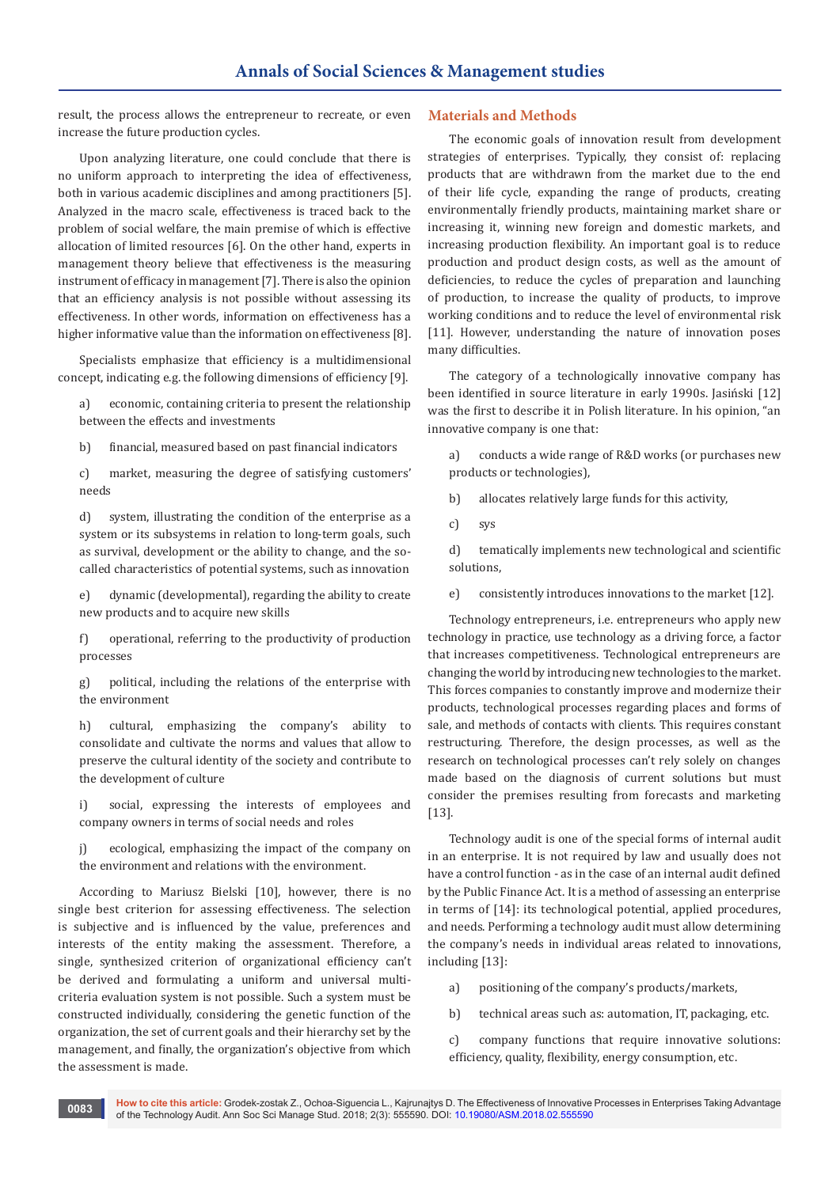result, the process allows the entrepreneur to recreate, or even increase the future production cycles.

Upon analyzing literature, one could conclude that there is no uniform approach to interpreting the idea of effectiveness, both in various academic disciplines and among practitioners [5]. Analyzed in the macro scale, effectiveness is traced back to the problem of social welfare, the main premise of which is effective allocation of limited resources [6]. On the other hand, experts in management theory believe that effectiveness is the measuring instrument of efficacy in management [7]. There is also the opinion that an efficiency analysis is not possible without assessing its effectiveness. In other words, information on effectiveness has a higher informative value than the information on effectiveness [8].

Specialists emphasize that efficiency is a multidimensional concept, indicating e.g. the following dimensions of efficiency [9].

a) economic, containing criteria to present the relationship between the effects and investments

b) financial, measured based on past financial indicators

c) market, measuring the degree of satisfying customers' needs

d) system, illustrating the condition of the enterprise as a system or its subsystems in relation to long-term goals, such as survival, development or the ability to change, and the socalled characteristics of potential systems, such as innovation

e) dynamic (developmental), regarding the ability to create new products and to acquire new skills

f) operational, referring to the productivity of production processes

g) political, including the relations of the enterprise with the environment

h) cultural, emphasizing the company's ability to consolidate and cultivate the norms and values that allow to preserve the cultural identity of the society and contribute to the development of culture

i) social, expressing the interests of employees and company owners in terms of social needs and roles

j) ecological, emphasizing the impact of the company on the environment and relations with the environment.

According to Mariusz Bielski [10], however, there is no single best criterion for assessing effectiveness. The selection is subjective and is influenced by the value, preferences and interests of the entity making the assessment. Therefore, a single, synthesized criterion of organizational efficiency can't be derived and formulating a uniform and universal multicriteria evaluation system is not possible. Such a system must be constructed individually, considering the genetic function of the organization, the set of current goals and their hierarchy set by the management, and finally, the organization's objective from which the assessment is made.

#### **Materials and Methods**

The economic goals of innovation result from development strategies of enterprises. Typically, they consist of: replacing products that are withdrawn from the market due to the end of their life cycle, expanding the range of products, creating environmentally friendly products, maintaining market share or increasing it, winning new foreign and domestic markets, and increasing production flexibility. An important goal is to reduce production and product design costs, as well as the amount of deficiencies, to reduce the cycles of preparation and launching of production, to increase the quality of products, to improve working conditions and to reduce the level of environmental risk [11]. However, understanding the nature of innovation poses many difficulties.

The category of a technologically innovative company has been identified in source literature in early 1990s. Jasiński [12] was the first to describe it in Polish literature. In his opinion, "an innovative company is one that:

a) conducts a wide range of R&D works (or purchases new products or technologies),

b) allocates relatively large funds for this activity,

c) sys

d) tematically implements new technological and scientific solutions,

e) consistently introduces innovations to the market [12].

Technology entrepreneurs, i.e. entrepreneurs who apply new technology in practice, use technology as a driving force, a factor that increases competitiveness. Technological entrepreneurs are changing the world by introducing new technologies to the market. This forces companies to constantly improve and modernize their products, technological processes regarding places and forms of sale, and methods of contacts with clients. This requires constant restructuring. Therefore, the design processes, as well as the research on technological processes can't rely solely on changes made based on the diagnosis of current solutions but must consider the premises resulting from forecasts and marketing [13].

Technology audit is one of the special forms of internal audit in an enterprise. It is not required by law and usually does not have a control function - as in the case of an internal audit defined by the Public Finance Act. It is a method of assessing an enterprise in terms of [14]: its technological potential, applied procedures, and needs. Performing a technology audit must allow determining the company's needs in individual areas related to innovations, including [13]:

a) positioning of the company's products/markets,

b) technical areas such as: automation, IT, packaging, etc.

c) company functions that require innovative solutions: efficiency, quality, flexibility, energy consumption, etc.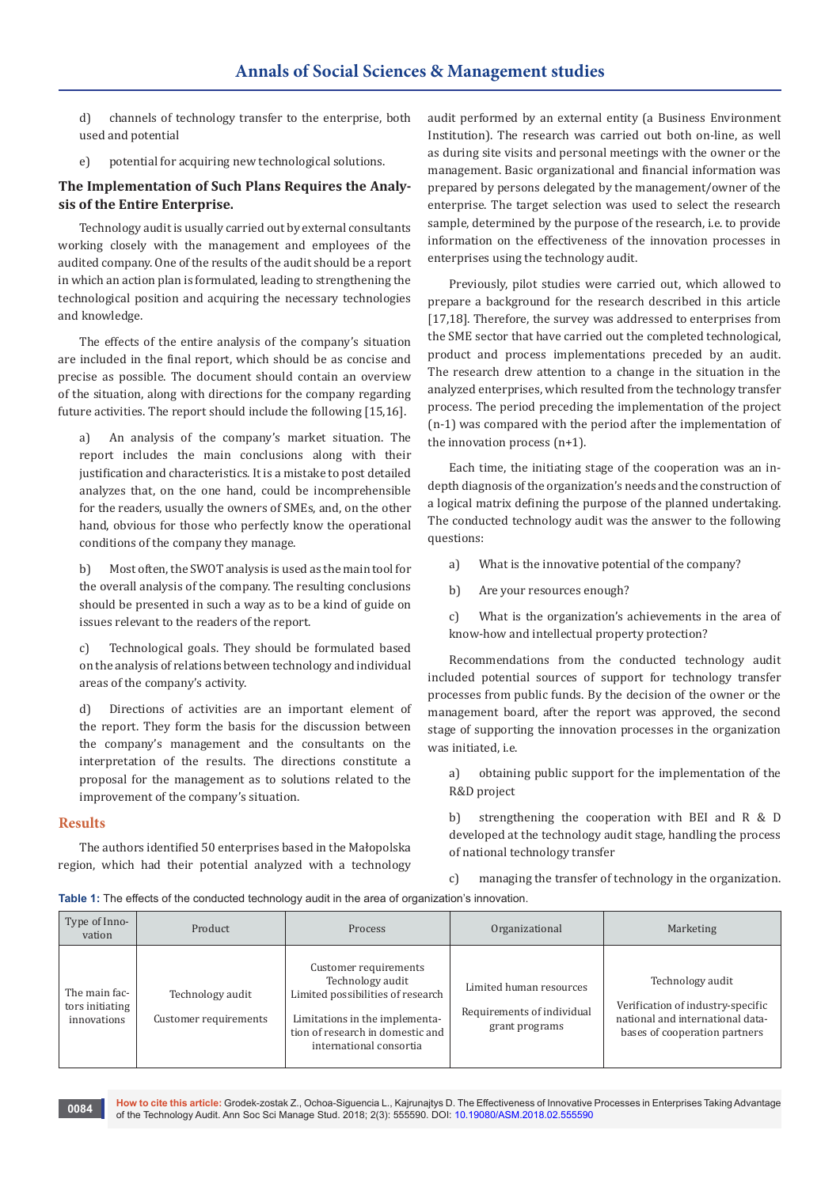d) channels of technology transfer to the enterprise, both used and potential

e) potential for acquiring new technological solutions.

### **The Implementation of Such Plans Requires the Analysis of the Entire Enterprise.**

Technology audit is usually carried out by external consultants working closely with the management and employees of the audited company. One of the results of the audit should be a report in which an action plan is formulated, leading to strengthening the technological position and acquiring the necessary technologies and knowledge.

The effects of the entire analysis of the company's situation are included in the final report, which should be as concise and precise as possible. The document should contain an overview of the situation, along with directions for the company regarding future activities. The report should include the following [15,16].

a) An analysis of the company's market situation. The report includes the main conclusions along with their justification and characteristics. It is a mistake to post detailed analyzes that, on the one hand, could be incomprehensible for the readers, usually the owners of SMEs, and, on the other hand, obvious for those who perfectly know the operational conditions of the company they manage.

b) Most often, the SWOT analysis is used as the main tool for the overall analysis of the company. The resulting conclusions should be presented in such a way as to be a kind of guide on issues relevant to the readers of the report.

c) Technological goals. They should be formulated based on the analysis of relations between technology and individual areas of the company's activity.

d) Directions of activities are an important element of the report. They form the basis for the discussion between the company's management and the consultants on the interpretation of the results. The directions constitute a proposal for the management as to solutions related to the improvement of the company's situation.

#### **Results**

The authors identified 50 enterprises based in the Małopolska region, which had their potential analyzed with a technology audit performed by an external entity (a Business Environment Institution). The research was carried out both on-line, as well as during site visits and personal meetings with the owner or the management. Basic organizational and financial information was prepared by persons delegated by the management/owner of the enterprise. The target selection was used to select the research sample, determined by the purpose of the research, i.e. to provide information on the effectiveness of the innovation processes in enterprises using the technology audit.

Previously, pilot studies were carried out, which allowed to prepare a background for the research described in this article [17,18]. Therefore, the survey was addressed to enterprises from the SME sector that have carried out the completed technological, product and process implementations preceded by an audit. The research drew attention to a change in the situation in the analyzed enterprises, which resulted from the technology transfer process. The period preceding the implementation of the project (n-1) was compared with the period after the implementation of the innovation process (n+1).

Each time, the initiating stage of the cooperation was an indepth diagnosis of the organization's needs and the construction of a logical matrix defining the purpose of the planned undertaking. The conducted technology audit was the answer to the following questions:

- a) What is the innovative potential of the company?
- b) Are your resources enough?

c) What is the organization's achievements in the area of know-how and intellectual property protection?

Recommendations from the conducted technology audit included potential sources of support for technology transfer processes from public funds. By the decision of the owner or the management board, after the report was approved, the second stage of supporting the innovation processes in the organization was initiated, i.e.

a) obtaining public support for the implementation of the R&D project

b) strengthening the cooperation with BEI and R & D developed at the technology audit stage, handling the process of national technology transfer

c) managing the transfer of technology in the organization.

**Table 1:** The effects of the conducted technology audit in the area of organization's innovation.

| Type of Inno-<br>vation                         | Product                                   | Process                                                                                                                                                                         | Organizational                                                          | Marketing                                                                                                                  |
|-------------------------------------------------|-------------------------------------------|---------------------------------------------------------------------------------------------------------------------------------------------------------------------------------|-------------------------------------------------------------------------|----------------------------------------------------------------------------------------------------------------------------|
| The main fac-<br>tors initiating<br>innovations | Technology audit<br>Customer requirements | Customer requirements<br>Technology audit<br>Limited possibilities of research<br>Limitations in the implementa-<br>tion of research in domestic and<br>international consortia | Limited human resources<br>Requirements of individual<br>grant programs | Technology audit<br>Verification of industry-specific<br>national and international data-<br>bases of cooperation partners |

**How to cite this article:** Grodek-zostak Z., Ochoa-Siguencia L., Kajrunajtys D. The Effectiveness of Innovative Processes in Enterprises Taking Advantage of the Technology Audit. Ann Soc Sci Manage Stud. 2018; 2(3): 555590. DOI: [10.19080/ASM.2018.02.555590](http://dx.doi.org/10.19080/ASM.2018.02.555590
) **<sup>0084</sup>**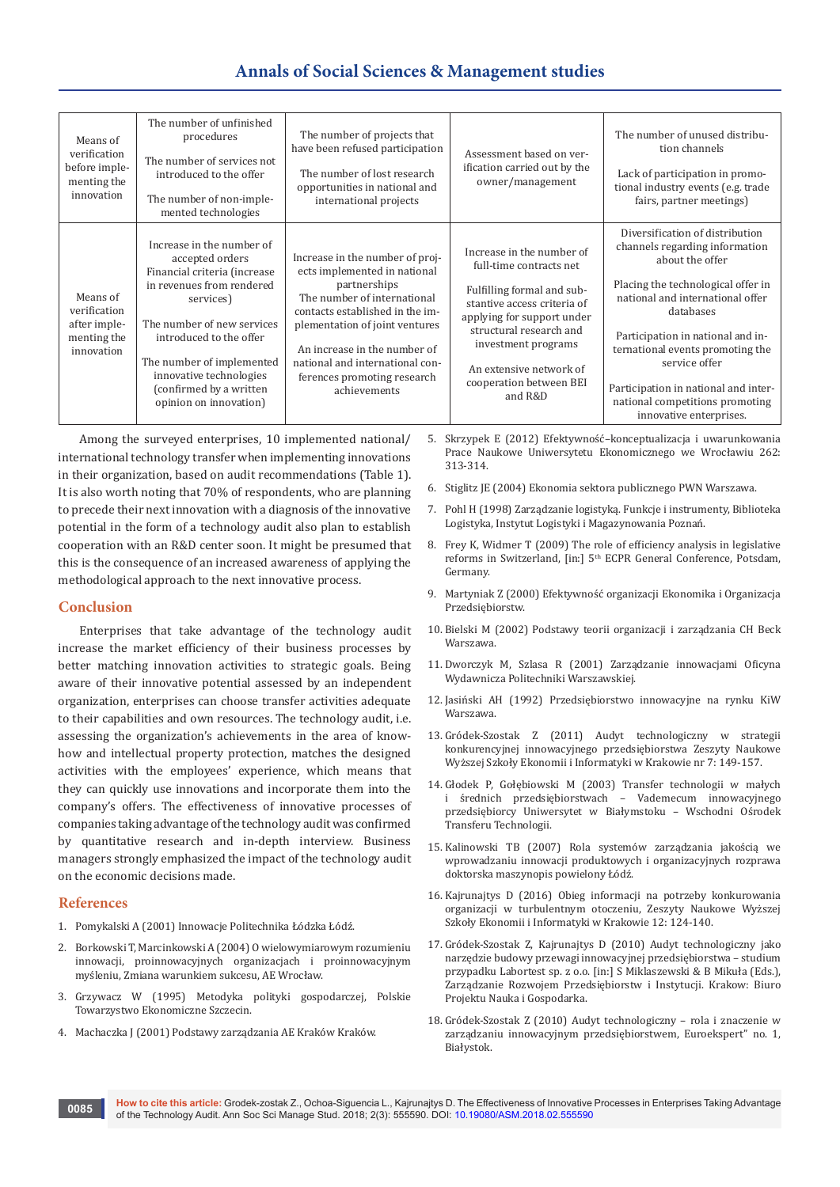## **Annals of Social Sciences & Management studies**

| Means of<br>verification<br>before imple-<br>menting the<br>innovation | The number of unfinished<br>procedures<br>The number of services not<br>introduced to the offer<br>The number of non-imple-<br>mented technologies                                                                                                                                           | The number of projects that<br>have been refused participation<br>The number of lost research<br>opportunities in national and<br>international projects                                                                                                                                              | Assessment based on ver-<br>ification carried out by the<br>owner/management                                                                                                                                                                                       | The number of unused distribu-<br>tion channels<br>Lack of participation in promo-<br>tional industry events (e.g. trade<br>fairs, partner meetings)                                                                                                                                                                                                                        |
|------------------------------------------------------------------------|----------------------------------------------------------------------------------------------------------------------------------------------------------------------------------------------------------------------------------------------------------------------------------------------|-------------------------------------------------------------------------------------------------------------------------------------------------------------------------------------------------------------------------------------------------------------------------------------------------------|--------------------------------------------------------------------------------------------------------------------------------------------------------------------------------------------------------------------------------------------------------------------|-----------------------------------------------------------------------------------------------------------------------------------------------------------------------------------------------------------------------------------------------------------------------------------------------------------------------------------------------------------------------------|
| Means of<br>verification<br>after imple-<br>menting the<br>innovation  | Increase in the number of<br>accepted orders<br>Financial criteria (increase<br>in revenues from rendered<br>services)<br>The number of new services<br>introduced to the offer<br>The number of implemented<br>innovative technologies<br>(confirmed by a written<br>opinion on innovation) | Increase in the number of proj-<br>ects implemented in national<br>partnerships<br>The number of international<br>contacts established in the im-<br>plementation of joint ventures<br>An increase in the number of<br>national and international con-<br>ferences promoting research<br>achievements | Increase in the number of<br>full-time contracts net<br>Fulfilling formal and sub-<br>stantive access criteria of<br>applying for support under<br>structural research and<br>investment programs<br>An extensive network of<br>cooperation between BEI<br>and R&D | Diversification of distribution<br>channels regarding information<br>about the offer<br>Placing the technological offer in<br>national and international offer<br>databases<br>Participation in national and in-<br>ternational events promoting the<br>service offer<br>Participation in national and inter-<br>national competitions promoting<br>innovative enterprises. |

Among the surveyed enterprises, 10 implemented national/ international technology transfer when implementing innovations in their organization, based on audit recommendations (Table 1). It is also worth noting that 70% of respondents, who are planning to precede their next innovation with a diagnosis of the innovative potential in the form of a technology audit also plan to establish cooperation with an R&D center soon. It might be presumed that this is the consequence of an increased awareness of applying the methodological approach to the next innovative process.

#### **Conclusion**

Enterprises that take advantage of the technology audit increase the market efficiency of their business processes by better matching innovation activities to strategic goals. Being aware of their innovative potential assessed by an independent organization, enterprises can choose transfer activities adequate to their capabilities and own resources. The technology audit, i.e. assessing the organization's achievements in the area of knowhow and intellectual property protection, matches the designed activities with the employees' experience, which means that they can quickly use innovations and incorporate them into the company's offers. The effectiveness of innovative processes of companies taking advantage of the technology audit was confirmed by quantitative research and in-depth interview. Business managers strongly emphasized the impact of the technology audit on the economic decisions made.

#### **References**

- 1. Pomykalski A (2001) Innowacje Politechnika Łódzka Łódź.
- 2. Borkowski T, Marcinkowski A (2004) O wielowymiarowym rozumieniu innowacji, proinnowacyjnych organizacjach i proinnowacyjnym myśleniu, Zmiana warunkiem sukcesu, AE Wrocław.
- 3. Grzywacz W (1995) Metodyka polityki gospodarczej, Polskie Towarzystwo Ekonomiczne Szczecin.
- 4. Machaczka J (2001) Podstawy zarządzania AE Kraków Kraków.

5. Skrzypek E (2012) Efektywność–konceptualizacja i uwarunkowania Prace Naukowe Uniwersytetu Ekonomicznego we Wrocławiu 262: 313-314.

- 6. Stiglitz JE (2004) Ekonomia sektora publicznego PWN Warszawa.
- 7. Pohl H (1998) Zarządzanie logistyką. Funkcje i instrumenty, Biblioteka Logistyka, Instytut Logistyki i Magazynowania Poznań.
- 8. Frey K, Widmer T (2009) The role of efficiency analysis in legislative reforms in Switzerland, [in:] 5<sup>th</sup> ECPR General Conference, Potsdam, Germany.
- 9. Martyniak Z (2000) Efektywność organizacji Ekonomika i Organizacja Przedsiębiorstw.
- 10. Bielski M (2002) Podstawy teorii organizacji i zarządzania CH Beck Warszawa.
- 11. Dworczyk M, Szlasa R (2001) Zarządzanie innowacjami Oficyna Wydawnicza Politechniki Warszawskiej.
- 12. Jasiński AH (1992) Przedsiębiorstwo innowacyjne na rynku KiW Warszawa.
- 13. Gródek-Szostak Z (2011) Audyt technologiczny w strategii konkurencyjnej innowacyjnego przedsiębiorstwa Zeszyty Naukowe Wyższej Szkoły Ekonomii i Informatyki w Krakowie nr 7: 149-157.
- 14. Głodek P, Gołębiowski M (2003) Transfer technologii w małych i średnich przedsiębiorstwach – Vademecum innowacyjnego przedsiębiorcy Uniwersytet w Białymstoku – Wschodni Ośrodek Transferu Technologii.
- 15. Kalinowski TB (2007) Rola systemów zarządzania jakością we wprowadzaniu innowacji produktowych i organizacyjnych rozprawa doktorska maszynopis powielony Łódź.
- 16. Kajrunajtys D (2016) Obieg informacji na potrzeby konkurowania organizacji w turbulentnym otoczeniu, Zeszyty Naukowe Wyższej Szkoły Ekonomii i Informatyki w Krakowie 12: 124-140.
- 17. Gródek-Szostak Z, Kajrunajtys D (2010) Audyt technologiczny jako narzędzie budowy przewagi innowacyjnej przedsiębiorstwa – studium przypadku Labortest sp. z o.o. [in:] S Miklaszewski & B Mikuła (Eds.), Zarządzanie Rozwojem Przedsiębiorstw i Instytucji. Krakow: Biuro Projektu Nauka i Gospodarka.
- 18. Gródek-Szostak Z (2010) Audyt technologiczny rola i znaczenie w zarządzaniu innowacyjnym przedsiębiorstwem, Euroekspert" no. 1, Białystok.

**How to cite this article:** Grodek-zostak Z., Ochoa-Siguencia L., Kajrunajtys D. The Effectiveness of Innovative Processes in Enterprises Taking Advantage of the Technology Audit. Ann Soc Sci Manage Stud. 2018; 2(3): 555590. DOI: [10.19080/ASM.2018.02.555590](http://dx.doi.org/10.19080/ASM.2018.02.555590
) **<sup>0085</sup>**